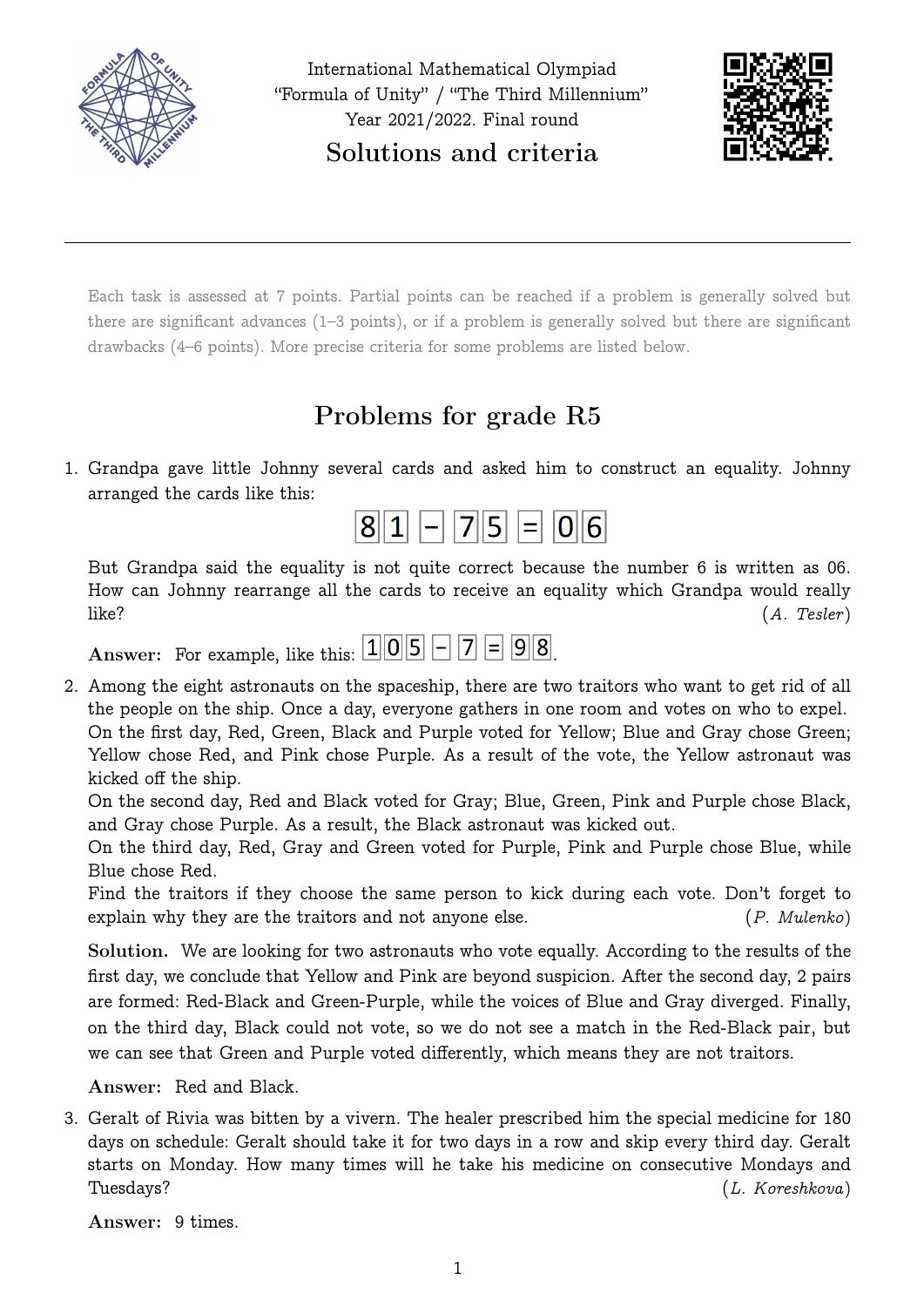



Each task is assessed at 7 points. Partial points can be reached if a problem is generally solved but there are significant advances (1–3 points), or if a problem is generally solved but there are significant drawbacks (4–6 points). More precise criteria for some problems are listed below.

# Problems for grade R5

1. Grandpa gave little Johnny several cards and asked him to construct an equality. Johnny arranged the cards like this:



But Grandpa said the equality is not quite correct because the number 6 is written as 06. How can Johnny rearrange all the cards to receive an equality which Grandpa would really  $like?$  (A. Tesler)

Answer: For example, like this:  $105 - 7 = 98$ 

2. Among the eight astronauts on the spaceship, there are two traitors who want to get rid of all the people on the ship. Once a day, everyone gathers in one room and votes on who to expel. On the first day, Red, Green, Black and Purple voted for Yellow; Blue and Gray chose Green; Yellow chose Red, and Pink chose Purple. As a result of the vote, the Yellow astronaut was kicked off the ship.

On the second day, Red and Black voted for Gray; Blue, Green, Pink and Purple chose Black, and Gray chose Purple. As a result, the Black astronaut was kicked out.

On the third day, Red, Gray and Green voted for Purple, Pink and Purple chose Blue, while Blue chose Red.

Find the traitors if they choose the same person to kick during each vote. Don't forget to explain why they are the traitors and not anyone else. (P. Mulenko)

Solution. We are looking for two astronauts who vote equally. According to the results of the first day, we conclude that Yellow and Pink are beyond suspicion. After the second day, 2 pairs are formed: Red-Black and Green-Purple, while the voices of Blue and Gray diverged. Finally, on the third day, Black could not vote, so we do not see a match in the Red-Black pair, but we can see that Green and Purple voted differently, which means they are not traitors.

Answer: Red and Black.

3. Geralt of Rivia was bitten by a vivern. The healer prescribed him the special medicine for 180 days on schedule: Geralt should take it for two days in a row and skip every third day. Geralt starts on Monday. How many times will he take his medicine on consecutive Mondays and Tuesdays? (L. Koreshkova)

Answer: 9 times.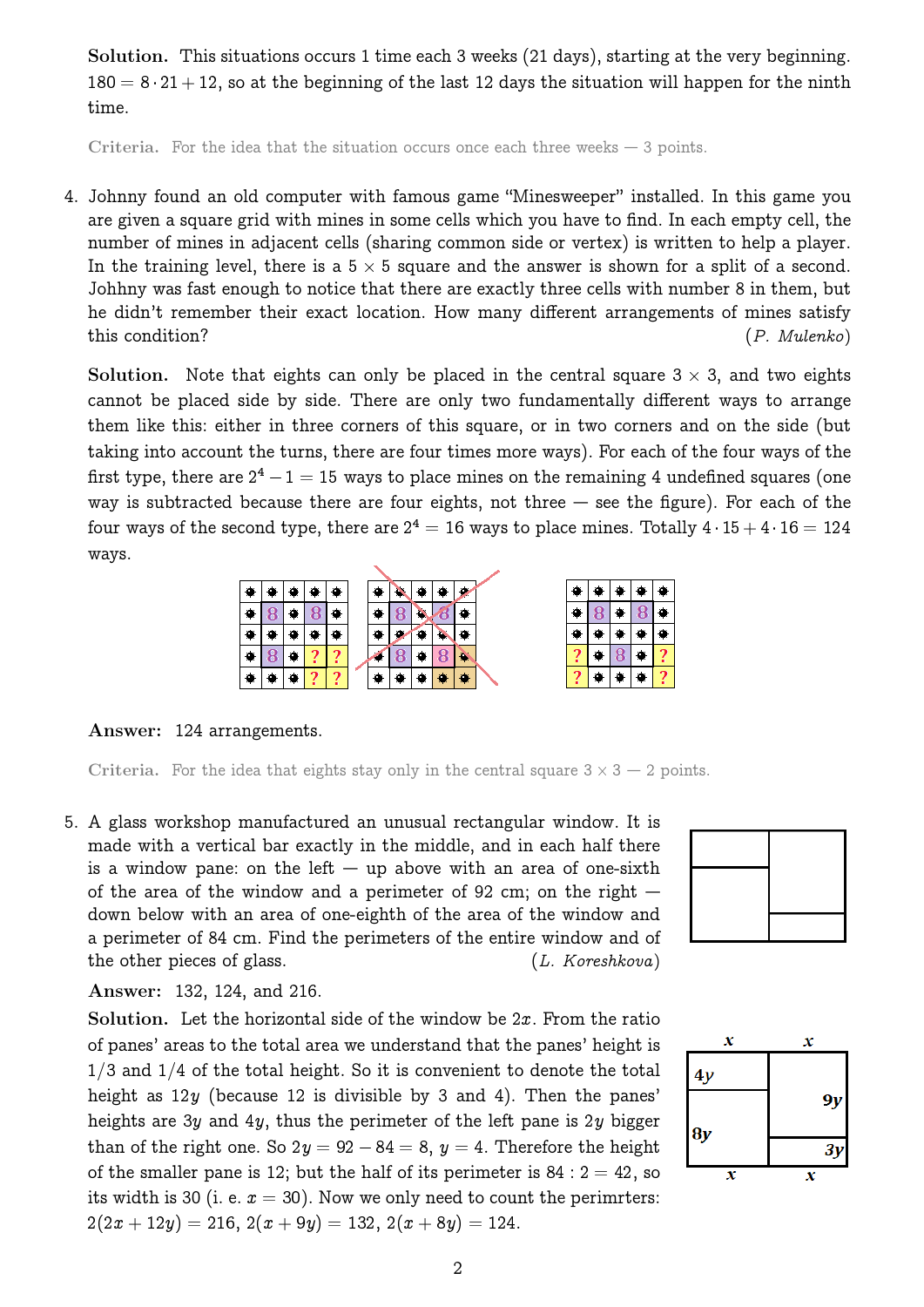Solution. This situations occurs 1 time each 3 weeks (21 days), starting at the very beginning.  $180 = 8 \cdot 21 + 12$ , so at the beginning of the last 12 days the situation will happen for the ninth time.

Criteria. For the idea that the situation occurs once each three weeks — 3 points.

4. Johnny found an old computer with famous game "Minesweeper" installed. In this game you are given a square grid with mines in some cells which you have to find. In each empty cell, the number of mines in adjacent cells (sharing common side or vertex) is written to help a player. In the training level, there is a  $5 \times 5$  square and the answer is shown for a split of a second. Johhny was fast enough to notice that there are exactly three cells with number 8 in them, but he didn't remember their exact location. How many different arrangements of mines satisfy this condition? (P. Mulenko)

Solution. Note that eights can only be placed in the central square  $3 \times 3$ , and two eights cannot be placed side by side. There are only two fundamentally different ways to arrange them like this: either in three corners of this square, or in two corners and on the side (but taking into account the turns, there are four times more ways). For each of the four ways of the first type, there are  $2^4-1=15$  ways to place mines on the remaining 4 undefined squares (one way is subtracted because there are four eights, not three  $-$  see the figure). For each of the four ways of the second type, there are  $2^4=16$  ways to place mines. Totally  $4\cdot 15+4\cdot 16=124$ ways.



Answer: 124 arrangements.

Criteria. For the idea that eights stay only in the central square  $3 \times 3 - 2$  points.

5. A glass workshop manufactured an unusual rectangular window. It is made with a vertical bar exactly in the middle, and in each half there is a window pane: on the left  $-$  up above with an area of one-sixth of the area of the window and a perimeter of 92 cm; on the right  $$ down below with an area of one-eighth of the area of the window and a perimeter of 84 cm. Find the perimeters of the entire window and of the other pieces of glass. (L. Koreshkova)

Answer: 132, 124, and 216.

Solution. Let the horizontal side of the window be  $2x$ . From the ratio of panes' areas to the total area we understand that the panes' height is  $1/3$  and  $1/4$  of the total height. So it is convenient to denote the total height as  $12y$  (because 12 is divisible by 3 and 4). Then the panes' heights are 3y and 4y, thus the perimeter of the left pane is 2y bigger than of the right one. So  $2y = 92 - 84 = 8$ ,  $y = 4$ . Therefore the height of the smaller pane is 12; but the half of its perimeter is  $84:2 = 42$ , so its width is 30 (i. e.  $x = 30$ ). Now we only need to count the perimmters:  $2(2x+12y) = 216$ ,  $2(x+9y) = 132$ ,  $2(x+8y) = 124$ .



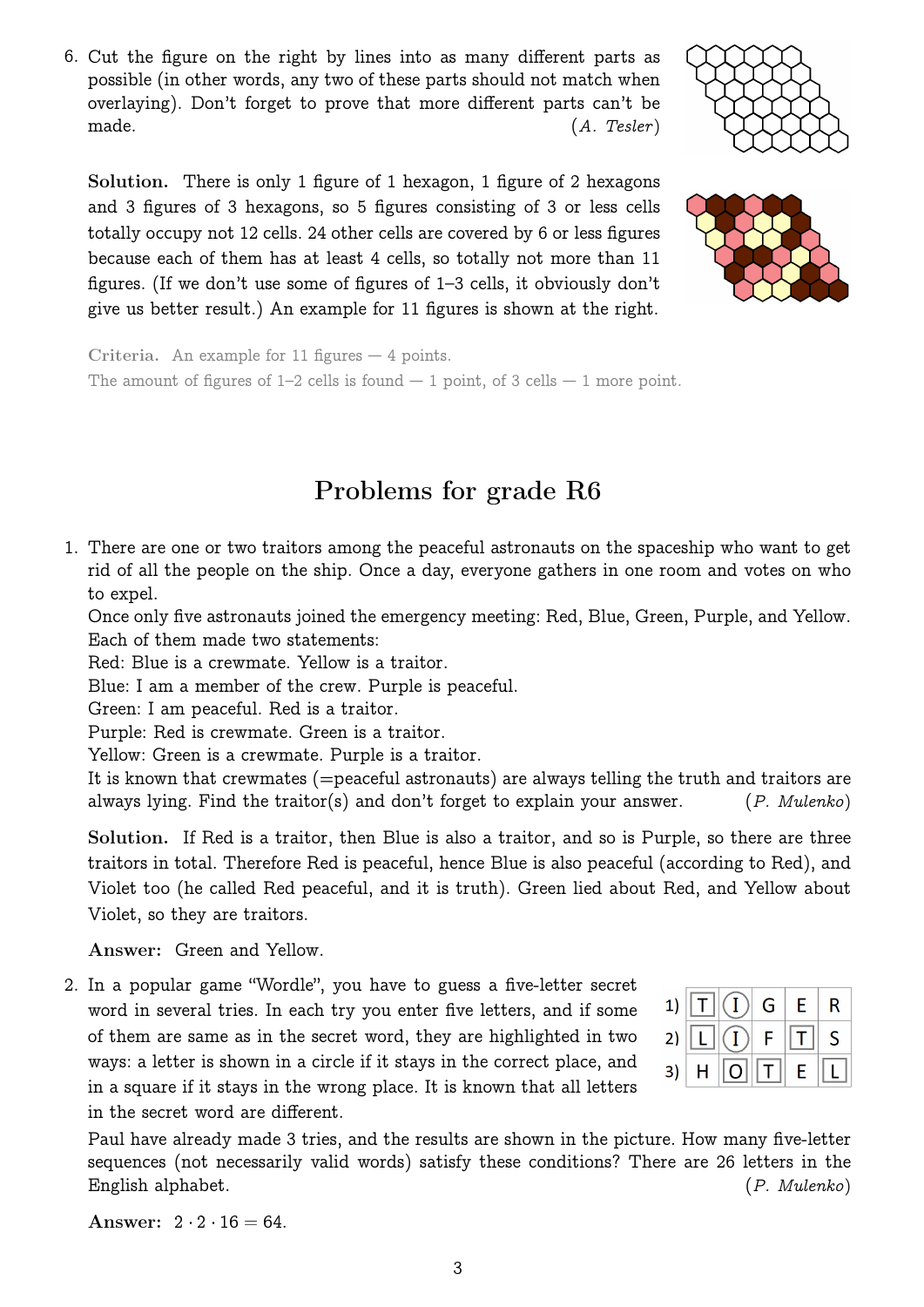<span id="page-2-0"></span>6. Cut the figure on the right by lines into as many different parts as possible (in other words, any two of these parts should not match when overlaying). Don't forget to prove that more different parts can't be made.  $(A. \text{ Tesler})$ 

Solution. There is only 1 figure of 1 hexagon, 1 figure of 2 hexagons and 3 figures of 3 hexagons, so 5 figures consisting of 3 or less cells totally occupy not 12 cells. 24 other cells are covered by 6 or less figures because each of them has at least 4 cells, so totally not more than 11 figures. (If we don't use some of figures of 1–3 cells, it obviously don't give us better result.) An example for 11 figures is shown at the right.

Criteria. An example for 11 figures  $-4$  points. The amount of figures of  $1-2$  cells is found  $-1$  point, of 3 cells  $-1$  more point.

# Problems for grade R6

1. There are one or two traitors among the peaceful astronauts on the spaceship who want to get rid of all the people on the ship. Once a day, everyone gathers in one room and votes on who to expel.

Once only five astronauts joined the emergency meeting: Red, Blue, Green, Purple, and Yellow. Each of them made two statements:

Red: Blue is a crewmate. Yellow is a traitor.

Blue: I am a member of the crew. Purple is peaceful.

Green: I am peaceful. Red is a traitor.

Purple: Red is crewmate. Green is a traitor.

Yellow: Green is a crewmate. Purple is a traitor.

It is known that crewmates (=peaceful astronauts) are always telling the truth and traitors are always lying. Find the traitor(s) and don't forget to explain your answer.  $(P.$  Mulenko)

Solution. If Red is a traitor, then Blue is also a traitor, and so is Purple, so there are three traitors in total. Therefore Red is peaceful, hence Blue is also peaceful (according to Red), and Violet too (he called Red peaceful, and it is truth). Green lied about Red, and Yellow about Violet, so they are traitors.

Answer: Green and Yellow.

<span id="page-2-1"></span>2. In a popular game "Wordle", you have to guess a five-letter secret word in several tries. In each try you enter five letters, and if some of them are same as in the secret word, they are highlighted in two ways: a letter is shown in a circle if it stays in the correct place, and in a square if it stays in the wrong place. It is known that all letters in the secret word are different.

Paul have already made 3 tries, and the results are shown in the picture. How many five-letter sequences (not necessarily valid words) satisfy these conditions? There are 26 letters in the English alphabet. (P. Mulenko)

3

Answer:  $2 \cdot 2 \cdot 16 = 64$ .



|  |  | 1) $\boxed{T}$ $\boxed{I}$ $\boxed{I}$ $\boxed{I}$ $\boxed{I}$ $\boxed{I}$ $\boxed{I}$ $\boxed{I}$ $\boxed{I}$ $\boxed{I}$ $\boxed{I}$ $\boxed{I}$ $\boxed{I}$ $\boxed{I}$ $\boxed{I}$ $\boxed{I}$ $\boxed{I}$ $\boxed{I}$ $\boxed{I}$ $\boxed{I}$ $\boxed{I}$ $\boxed{I}$ $\boxed{I}$ $\boxed{I}$ $\boxed{I}$ $\boxed{I}$ $\boxed{I}$ $\boxed$ |
|--|--|-------------------------------------------------------------------------------------------------------------------------------------------------------------------------------------------------------------------------------------------------------------------------------------------------------------------------------------------------|
|  |  | 2) $\boxed{L}$ $\boxed{I}$ $F$ $\boxed{T}$ $S$                                                                                                                                                                                                                                                                                                  |
|  |  | 3) $H$ $\boxed{O}$ $\boxed{T}$ $E$ $\boxed{L}$                                                                                                                                                                                                                                                                                                  |

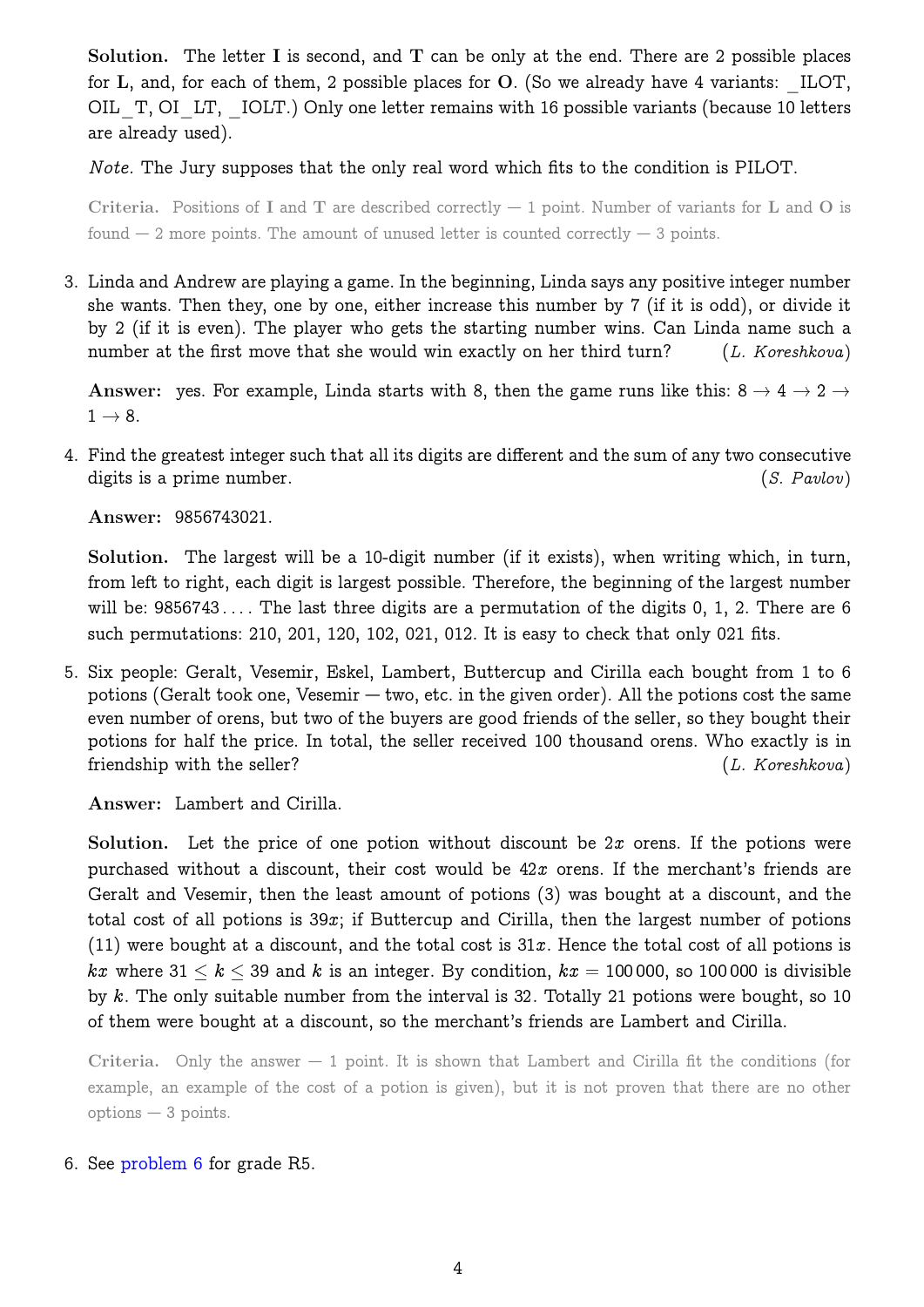Solution. The letter I is second, and  $T$  can be only at the end. There are 2 possible places for  $L$ , and, for each of them, 2 possible places for  $O$ . (So we already have 4 variants: ILOT, OIL T, OI LT, IOLT.) Only one letter remains with 16 possible variants (because 10 letters are already used).

Note. The Jury supposes that the only real word which fits to the condition is PILOT.

Criteria. Positions of I and T are described correctly  $-1$  point. Number of variants for L and O is found  $-2$  more points. The amount of unused letter is counted correctly  $-3$  points.

3. Linda and Andrew are playing a game. In the beginning, Linda says any positive integer number she wants. Then they, one by one, either increase this number by 7 (if it is odd), or divide it by 2 (if it is even). The player who gets the starting number wins. Can Linda name such a number at the first move that she would win exactly on her third turn? (L. Koreshkova)

Answer: yes. For example, Linda starts with 8, then the game runs like this:  $8 \rightarrow 4 \rightarrow 2 \rightarrow$  $1 \rightarrow 8$ .

4. Find the greatest integer such that all its digits are different and the sum of any two consecutive digits is a prime number. (S. Pavlov)

Answer: 9856743021.

Solution. The largest will be a 10-digit number (if it exists), when writing which, in turn, from left to right, each digit is largest possible. Therefore, the beginning of the largest number will be:  $9856743...$  The last three digits are a permutation of the digits 0, 1, 2. There are 6 such permutations: 210, 201, 120, 102, 021, 012. It is easy to check that only 021 fits.

<span id="page-3-0"></span>5. Six people: Geralt, Vesemir, Eskel, Lambert, Buttercup and Cirilla each bought from 1 to 6 potions (Geralt took one, Vesemir — two, etc. in the given order). All the potions cost the same even number of orens, but two of the buyers are good friends of the seller, so they bought their potions for half the price. In total, the seller received 100 thousand orens. Who exactly is in friendship with the seller? (L. Koreshkova)

Answer: Lambert and Cirilla.

Solution. Let the price of one potion without discount be  $2x$  orens. If the potions were purchased without a discount, their cost would be  $42x$  orens. If the merchant's friends are Geralt and Vesemir, then the least amount of potions (3) was bought at a discount, and the total cost of all potions is  $39x$ ; if Buttercup and Cirilla, then the largest number of potions (11) were bought at a discount, and the total cost is  $31x$ . Hence the total cost of all potions is kx where 31  $\le k \le 39$  and k is an integer. By condition,  $kx = 100000$ , so 100000 is divisible by k. The only suitable number from the interval is 32. Totally 21 potions were bought, so 10 of them were bought at a discount, so the merchant's friends are Lambert and Cirilla.

Criteria. Only the answer  $-1$  point. It is shown that Lambert and Cirilla fit the conditions (for example, an example of the cost of a potion is given), but it is not proven that there are no other options — 3 points.

6. See [problem 6](#page-2-0) for grade R5.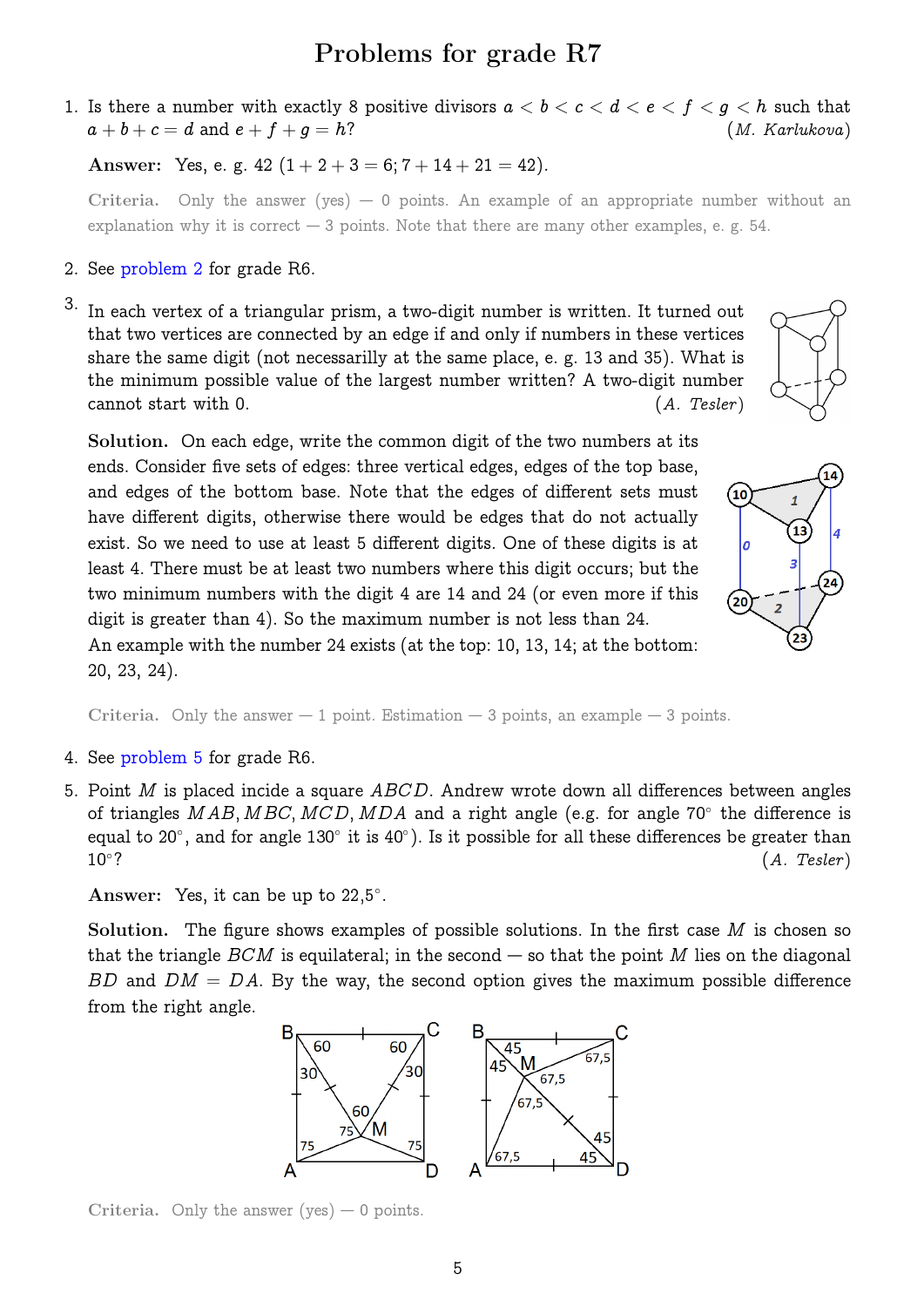# Problems for grade R7

1. Is there a number with exactly 8 positive divisors  $a < b < c < d < e < f < g < h$  such that  $a + b + c = d$  and  $e + f + q = h$ ? (*M. Karlukova*)

Answer: Yes, e. g. 42  $(1+2+3=6; 7+14+21=42)$ .

Criteria. Only the answer (yes)  $-0$  points. An example of an appropriate number without an explanation why it is correct  $-3$  points. Note that there are many other examples, e. g. 54.

- 2. See [problem 2](#page-2-1) for grade R6.
- 3. In each vertex of a triangular prism, a two-digit number is written. It turned out that two vertices are connected by an edge if and only if numbers in these vertices share the same digit (not necessarilly at the same place, e. g. 13 and 35). What is the minimum possible value of the largest number written? A two-digit number cannot start with 0. (A. Tesler)



Solution. On each edge, write the common digit of the two numbers at its ends. Consider five sets of edges: three vertical edges, edges of the top base, and edges of the bottom base. Note that the edges of different sets must have different digits, otherwise there would be edges that do not actually exist. So we need to use at least 5 different digits. One of these digits is at least 4. There must be at least two numbers where this digit occurs; but the two minimum numbers with the digit 4 are 14 and 24 (or even more if this digit is greater than 4). So the maximum number is not less than 24. An example with the number 24 exists (at the top: 10, 13, 14; at the bottom:

 $(10)$  $\overline{a}$ (20 23

Criteria. Only the answer  $-1$  point. Estimation  $-3$  points, an example  $-3$  points.

4. See [problem 5](#page-3-0) for grade R6.

20, 23, 24).

5. Point M is placed incide a square  $ABCD$ . Andrew wrote down all differences between angles of triangles  $MAB, MBC, MCD, MDA$  and a right angle (e.g. for angle 70° the difference is equal to 20°, and for angle 130° it is 40°). Is it possible for all these differences be greater than  $10°?$  $(A.$  Tesler)

Answer: Yes, it can be up to  $22,5^{\circ}$ .

Solution. The figure shows examples of possible solutions. In the first case  $M$  is chosen so that the triangle  $BCM$  is equilateral; in the second — so that the point M lies on the diagonal BD and  $DM = DA$ . By the way, the second option gives the maximum possible difference from the right angle.



Criteria. Only the answer (yes)  $-0$  points.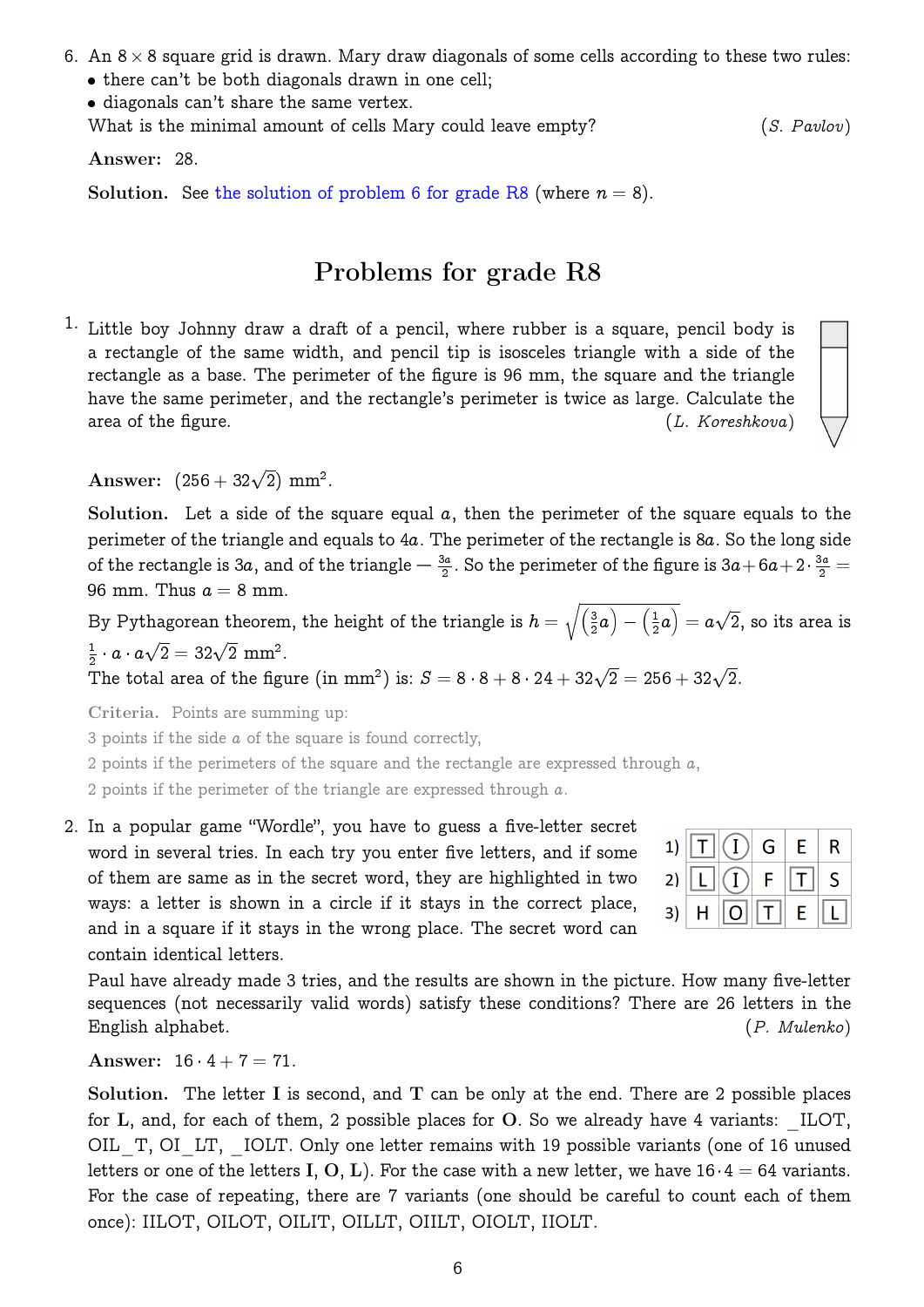- 6. An  $8 \times 8$  square grid is drawn. Mary draw diagonals of some cells according to these two rules:
	- there can't be both diagonals drawn in one cell;

diagonals can't share the same vertex.

What is the minimal amount of cells Mary could leave empty? (S. Pavlov)

Answer: 28.

Solution. See [the solution of problem 6 for grade R8](#page-7-0) (where  $n = 8$ ).

## Problems for grade R8

1. Little boy Johnny draw a draft of a pencil, where rubber is a square, pencil body is a rectangle of the same width, and pencil tip is isosceles triangle with a side of the rectangle as a base. The perimeter of the figure is 96 mm, the square and the triangle have the same perimeter, and the rectangle's perimeter is twice as large. Calculate the area of the figure.  $(L. Koreshkova)$ 

Answer:  $(256 + 32\sqrt{2})$  mm<sup>2</sup>.

Solution. Let a side of the square equal  $a$ , then the perimeter of the square equals to the perimeter of the triangle and equals to 4a. The perimeter of the rectangle is 8a. So the long side of the rectangle is 3a, and of the triangle  $-\frac{3a}{2}$ . So the perimeter of the figure is 3a + 6a + 2  $\cdot \frac{3a}{2}$  = 96 mm. Thus  $a = 8$  mm.

By Pythagorean theorem, the height of the triangle is  $h = \sqrt{\left(\frac{3}{2}\right)^2}$  $\left(\frac{3}{2}a\right)-\left(\frac{1}{2}\right)$  $\frac{1}{2} a \big) = a$ p 2, so its area is 1  $\frac{1}{2} \cdot a \cdot a\sqrt{2} = 32\sqrt{2} \text{ mm}^2.$  $\mathbb{R}^2$ 

The total area of the figure (in mm<sup>2</sup>) is:  $S = 8 \cdot 8 + 8 \cdot 24 + 32\sqrt{2} = 256 + 32\sqrt{2}$ .

Criteria. Points are summing up:

3 points if the side a of the square is found correctly,

2 points if the perimeters of the square and the rectangle are expressed through  $a$ ,

2 points if the perimeter of the triangle are expressed through a.

<span id="page-5-0"></span>2. In a popular game "Wordle", you have to guess a five-letter secret word in several tries. In each try you enter five letters, and if some of them are same as in the secret word, they are highlighted in two ways: a letter is shown in a circle if it stays in the correct place, and in a square if it stays in the wrong place. The secret word can contain identical letters.

|  | 1) $\boxed{T}$ $\boxed{)}$ $G$ $\boxed{E}$ $\boxed{R}$ |  |  |
|--|--------------------------------------------------------|--|--|
|  | 2) $\boxed{L}$ $\boxed{I}$ $F$ $\boxed{T}$ $S$         |  |  |
|  | 3) $H$ $\boxed{O}$ $\boxed{T}$ $E$ $\boxed{L}$         |  |  |

Paul have already made 3 tries, and the results are shown in the picture. How many five-letter sequences (not necessarily valid words) satisfy these conditions? There are 26 letters in the English alphabet. (P. Mulenko)

Answer:  $16 \cdot 4 + 7 = 71$ .

Solution. The letter I is second, and  $T$  can be only at the end. There are 2 possible places for L, and, for each of them, 2 possible places for O. So we already have 4 variants:  $\text{ILOT}$ , OIL T, OI LT, IOLT. Only one letter remains with 19 possible variants (one of 16 unused letters or one of the letters I, O, L). For the case with a new letter, we have  $16\cdot 4 = 64$  variants. For the case of repeating, there are 7 variants (one should be careful to count each of them once): IILOT, OILOT, OILIT, OILLT, OIILT, OIOLT, IIOLT.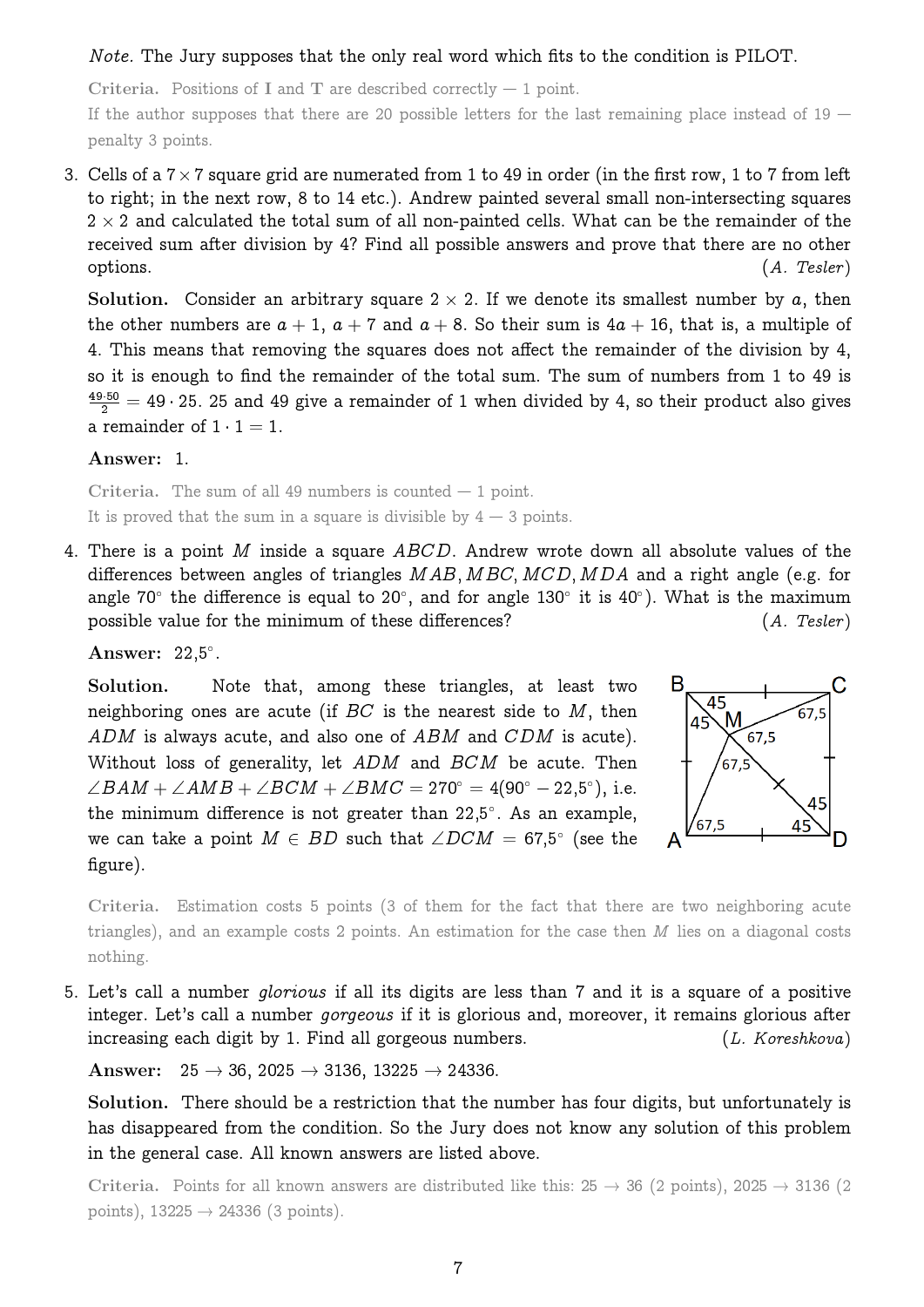#### Note. The Jury supposes that the only real word which fits to the condition is PILOT.

Criteria. Positions of I and T are described correctly  $-1$  point.

If the author supposes that there are 20 possible letters for the last remaining place instead of  $19$  – penalty 3 points.

3. Cells of a  $7\times7$  square grid are numerated from 1 to 49 in order (in the first row, 1 to 7 from left to right; in the next row, 8 to 14 etc.). Andrew painted several small non-intersecting squares  $2 \times 2$  and calculated the total sum of all non-painted cells. What can be the remainder of the received sum after division by 4? Find all possible answers and prove that there are no other  $\qquad \qquad \text{(A. Tester)}$ 

Solution. Consider an arbitrary square  $2 \times 2$ . If we denote its smallest number by a, then the other numbers are  $a + 1$ ,  $a + 7$  and  $a + 8$ . So their sum is  $4a + 16$ , that is, a multiple of 4. This means that removing the squares does not affect the remainder of the division by 4, so it is enough to find the remainder of the total sum. The sum of numbers from 1 to 49 is  $\frac{49\cdot 50}{2} = 49\cdot 25$ . 25 and 49 give a remainder of 1 when divided by 4, so their product also gives a remainder of  $1 \cdot 1 = 1$ .

Answer: 1.

Criteria. The sum of all 49 numbers is counted  $-1$  point. It is proved that the sum in a square is divisible by  $4 - 3$  points.

<span id="page-6-0"></span>4. There is a point M inside a square  $ABCD$ . Andrew wrote down all absolute values of the differences between angles of triangles  $MAB$ ,  $MBC$ ,  $MCD$ ,  $MDA$  and a right angle (e.g. for angle 70° the difference is equal to 20°, and for angle 130° it is 40°). What is the maximum possible value for the minimum of these differences? (A. Tesler)

Answer:  $22,5^\circ$ .

Solution. Note that, among these triangles, at least two neighboring ones are acute (if  $BC$  is the nearest side to  $M$ , then ADM is always acute, and also one of ABM and CDM is acute). Without loss of generality, let ADM and BCM be acute. Then  $\angle BAM + \angle AMB + \angle BCM + \angle BMC = 270^{\circ} = 4(90^{\circ} - 22,5^{\circ}),$  i.e. the minimum difference is not greater than 22,5°. As an example, we can take a point  $M \in \overline{BD}$  such that  $\angle DCM = 67,5^{\circ}$  (see the figure).



Criteria. Estimation costs 5 points (3 of them for the fact that there are two neighboring acute triangles), and an example costs 2 points. An estimation for the case then M lies on a diagonal costs nothing.

5. Let's call a number glorious if all its digits are less than 7 and it is a square of a positive integer. Let's call a number *gorgeous* if it is glorious and, moreover, it remains glorious after increasing each digit by 1. Find all gorgeous numbers. (L. Koreshkova)

Answer:  $25 \rightarrow 36$ ,  $2025 \rightarrow 3136$ ,  $13225 \rightarrow 24336$ .

Solution. There should be a restriction that the number has four digits, but unfortunately is has disappeared from the condition. So the Jury does not know any solution of this problem in the general case. All known answers are listed above.

Criteria. Points for all known answers are distributed like this:  $25 \rightarrow 36$  (2 points), 2025  $\rightarrow 3136$  (2 points),  $13225 \rightarrow 24336$  (3 points).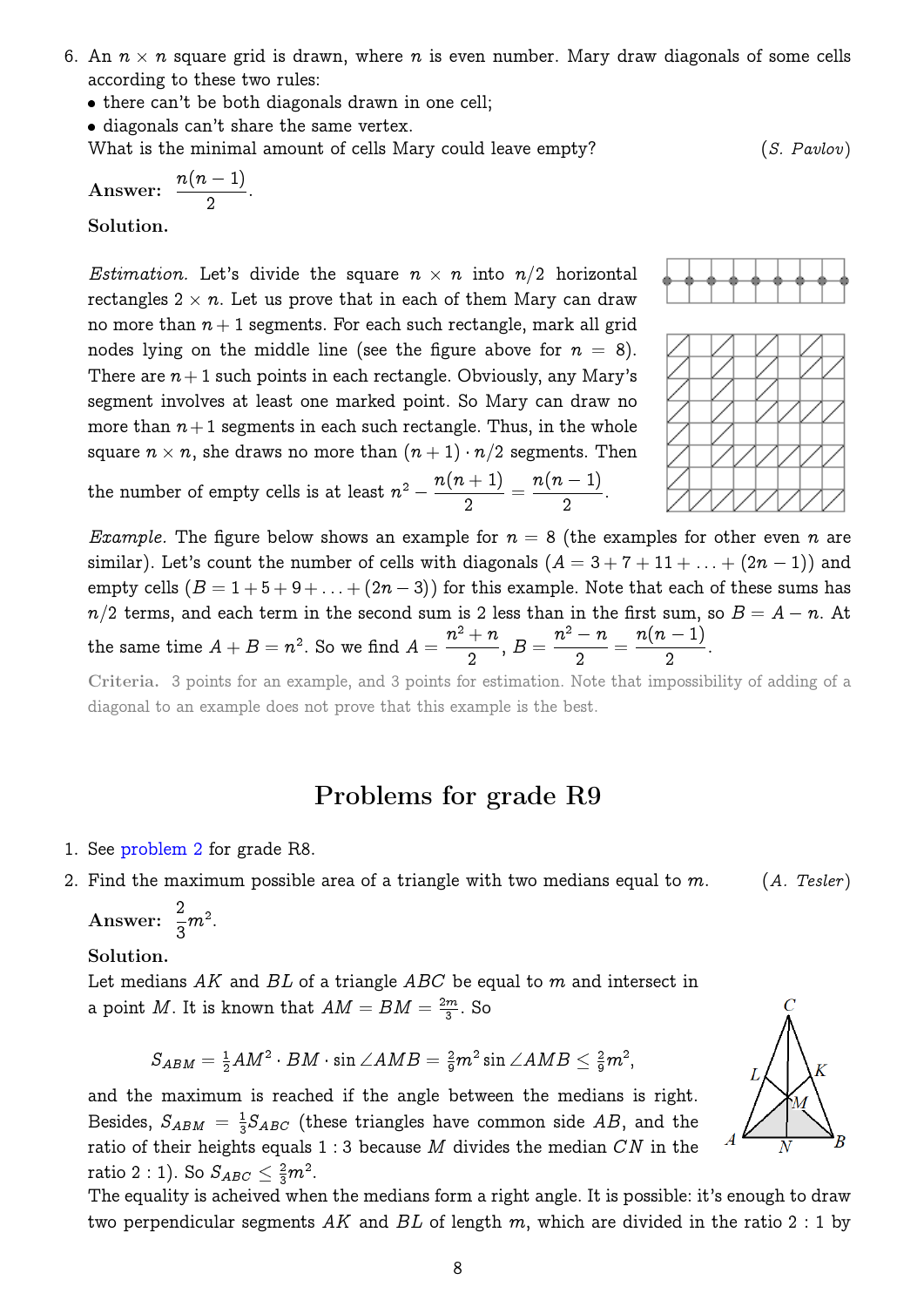- <span id="page-7-0"></span>6. An  $n \times n$  square grid is drawn, where  $n$  is even number. Mary draw diagonals of some cells according to these two rules:
	- there can't be both diagonals drawn in one cell;
	- diagonals can't share the same vertex.

What is the minimal amount of cells Mary could leave empty?

Answer:  $\frac{n(n-1)}{2}$ 2 .

Solution.

*Estimation*. Let's divide the square  $n \times n$  into  $n/2$  horizontal rectangles  $2\times n.$  Let us prove that in each of them Mary can draw no more than  $n + 1$  segments. For each such rectangle, mark all grid nodes lying on the middle line (see the figure above for  $n = 8$ ). There are  $n+1$  such points in each rectangle. Obviously, any Mary's segment involves at least one marked point. So Mary can draw no more than  $n+1$  segments in each such rectangle. Thus, in the whole square  $n\times n,$  she draws no more than  $(n+1)\cdot n/2$  segments. Then the number of empty cells is at least  $n^2 - \frac{n(n+1)}{2}$ 2 =  $n(n-1)$ 2 :

*Example.* The figure below shows an example for  $n = 8$  (the examples for other even n are similar). Let's count the number of cells with diagonals  $(A = 3 + 7 + 11 + ... + (2n - 1))$  and empty cells  $(B = 1 + 5 + 9 + ... + (2n - 3))$  for this example. Note that each of these sums has  $n/2$  terms, and each term in the second sum is 2 less than in the first sum, so  $B = A - n.$  At the same time  $A+B=n^2.$  So we find  $A=$  $n^2 + n$ 2 ,  $B =$  $n^2 - n$ 2 =  $n(n-1)$ 2 .

Criteria. 3 points for an example, and 3 points for estimation. Note that impossibility of adding of a diagonal to an example does not prove that this example is the best.

## Problems for grade R9

1. See [problem 2](#page-5-0) for grade R8.



Answer:  $\frac{2}{3}$ 3  $m^2$ .

#### Solution.

Let medians  $AK$  and  $BL$  of a triangle  $ABC$  be equal to m and intersect in a point M. It is known that  $AM = BM = \frac{2m}{3}$  $\frac{m}{3}$ . So

$$
S_{ABM} = \tfrac{1}{2}AM^2\cdot BM\cdot \sin\angle AMB = \tfrac{2}{9}m^2\sin\angle AMB \leq \tfrac{2}{9}m^2,
$$

and the maximum is reached if the angle between the medians is right. Besides,  $S_{ABM} = \frac{1}{3}$  $\frac{1}{3}S_{ABC}$  (these triangles have common side  $AB$ , and the ratio of their heights equals  $1:3$  because M divides the median  $CN$  in the

two perpendicular segments AK and BL of length m, which are divided in the ratio 2 : 1 by





$$
(S. \; Pavlov)
$$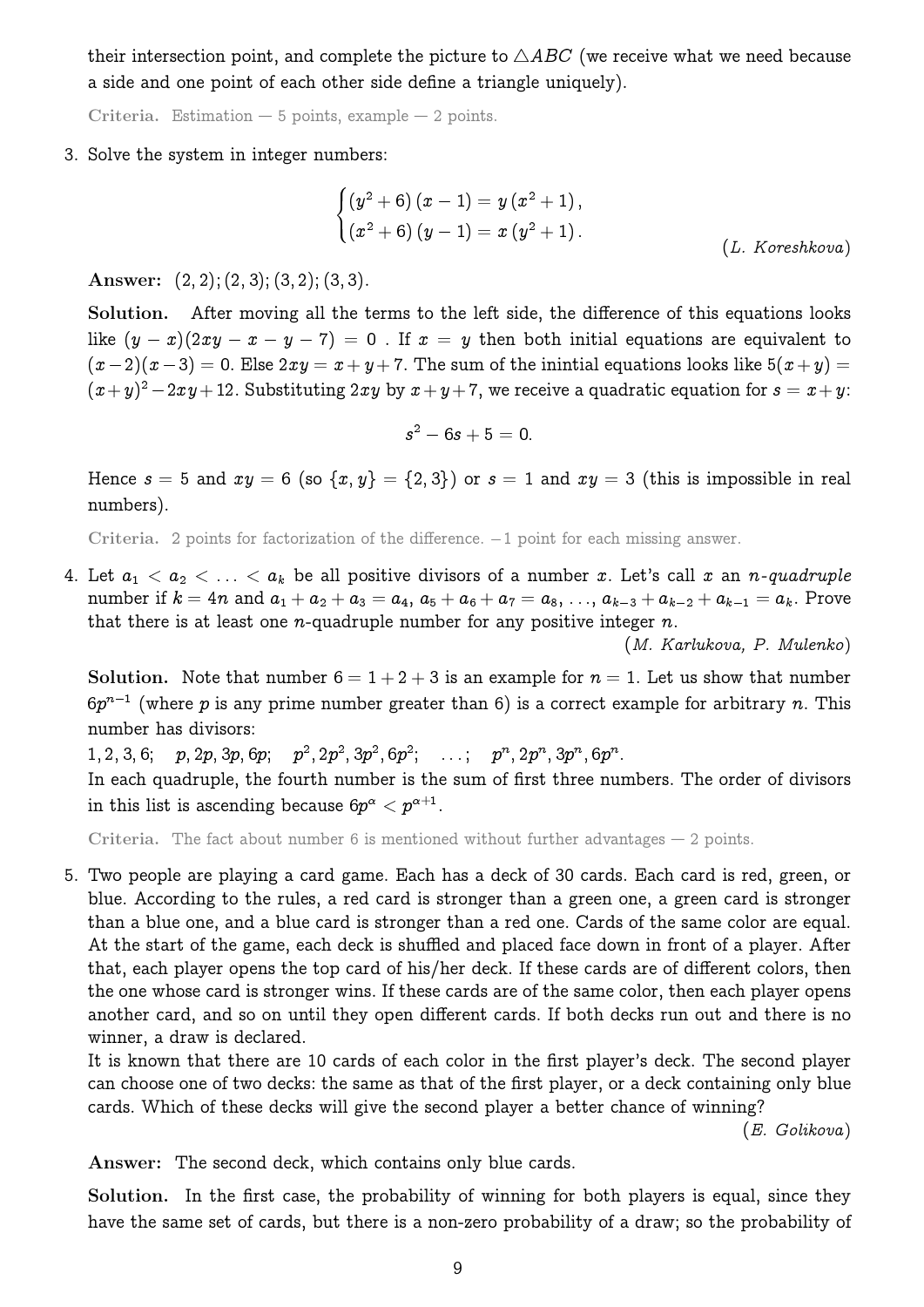their intersection point, and complete the picture to  $\triangle ABC$  (we receive what we need because a side and one point of each other side define a triangle uniquely).

Criteria. Estimation  $-5$  points, example  $-2$  points.

#### <span id="page-8-0"></span>3. Solve the system in integer numbers:

$$
\begin{cases}\n(y^2 + 6)(x - 1) = y(x^2 + 1), \\
(x^2 + 6)(y - 1) = x(y^2 + 1).\n\end{cases}
$$
\n(L. Koreshkova)

Answer:  $(2, 2)$ ;  $(2, 3)$ ;  $(3, 2)$ ;  $(3, 3)$ .

Solution. After moving all the terms to the left side, the difference of this equations looks like  $(y - x)(2xy - x - y - 7) = 0$ . If  $x = y$  then both initial equations are equivalent to  $(x-2)(x-3) = 0$ . Else  $2xy = x+y+7$ . The sum of the inintial equations looks like  $5(x+y) = 0$ .  $(x+y)^2-2xy+12$ . Substituting  $2xy$  by  $x+y+7$ , we receive a quadratic equation for  $s=x+y$ :

$$
s^2-6s+5=0.
$$

Hence  $s = 5$  and  $xy = 6$  (so  $\{x, y\} = \{2, 3\}$ ) or  $s = 1$  and  $xy = 3$  (this is impossible in real numbers).

Criteria. 2 points for factorization of the difference.  $-1$  point for each missing answer.

4. Let  $a_1 < a_2 < \ldots < a_k$  be all positive divisors of a number x. Let's call x an n-quadruple number if  $k = 4n$  and  $a_1 + a_2 + a_3 = a_4$ ,  $a_5 + a_6 + a_7 = a_8$ , ...,  $a_{k-3} + a_{k-2} + a_{k-1} = a_k$ . Prove that there is at least one *n*-quadruple number for any positive integer  $n$ .

(M. Karlukova, P. Mulenko)

Solution. Note that number  $6 = 1 + 2 + 3$  is an example for  $n = 1$ . Let us show that number  $6p^{n-1}$  (where  $p$  is any prime number greater than 6) is a correct example for arbitrary  $n$ . This number has divisors:

 $1, 2, 3, 6; \quad p, 2p, 3p, 6p; \quad p^2, 2p^2, 3p^2, 6p^2; \quad \ldots; \quad p^n, 2p^n, 3p^n, 6p^n.$ 

In each quadruple, the fourth number is the sum of first three numbers. The order of divisors in this list is ascending because  $6p^{\alpha} < p^{\alpha + 1}.$ 

Criteria. The fact about number 6 is mentioned without further advantages  $-$  2 points.

5. Two people are playing a card game. Each has a deck of 30 cards. Each card is red, green, or blue. According to the rules, a red card is stronger than a green one, a green card is stronger than a blue one, and a blue card is stronger than a red one. Cards of the same color are equal. At the start of the game, each deck is shuffled and placed face down in front of a player. After that, each player opens the top card of his/her deck. If these cards are of different colors, then the one whose card is stronger wins. If these cards are of the same color, then each player opens another card, and so on until they open different cards. If both decks run out and there is no winner, a draw is declared.

It is known that there are 10 cards of each color in the first player's deck. The second player can choose one of two decks: the same as that of the first player, or a deck containing only blue cards. Which of these decks will give the second player a better chance of winning?

(E. Golikova)

Answer: The second deck, which contains only blue cards.

Solution. In the first case, the probability of winning for both players is equal, since they have the same set of cards, but there is a non-zero probability of a draw; so the probability of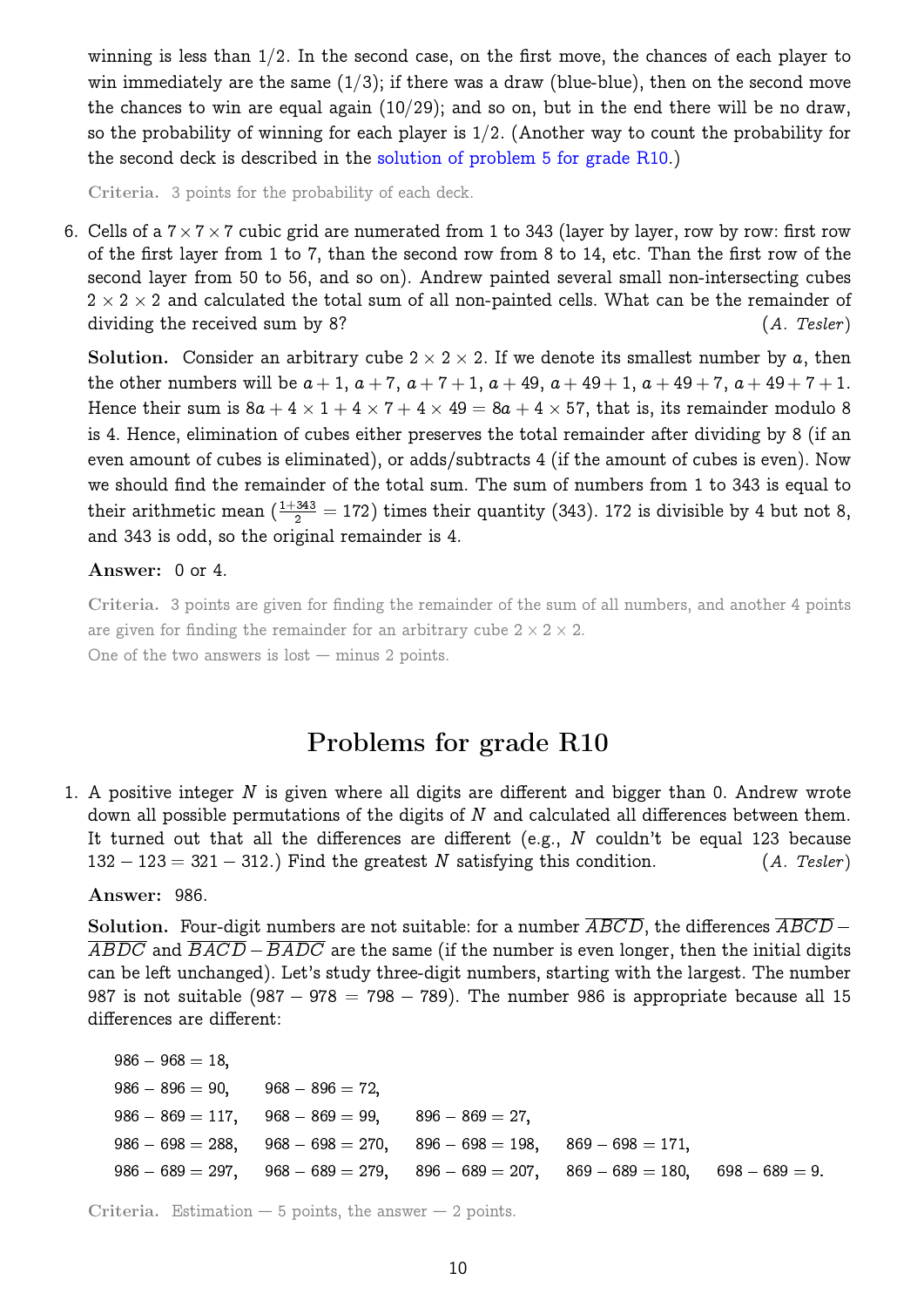winning is less than  $1/2$ . In the second case, on the first move, the chances of each player to win immediately are the same  $(1/3)$ ; if there was a draw (blue-blue), then on the second move the chances to win are equal again  $(10/29)$ ; and so on, but in the end there will be no draw, so the probability of winning for each player is  $1/2$ . (Another way to count the probability for the second deck is described in the [solution of problem 5 for grade R10.](#page-10-0))

Criteria. 3 points for the probability of each deck.

<span id="page-9-0"></span>6. Cells of a  $7\times7\times7$  cubic grid are numerated from 1 to 343 (layer by layer, row by row: first row of the first layer from 1 to 7, than the second row from 8 to 14, etc. Than the first row of the second layer from 50 to 56, and so on). Andrew painted several small non-intersecting cubes  $2 \times 2 \times 2$  and calculated the total sum of all non-painted cells. What can be the remainder of dividing the received sum by 8? (A. Tesler)

Solution. Consider an arbitrary cube  $2 \times 2 \times 2$ . If we denote its smallest number by a, then the other numbers will be  $a + 1$ ,  $a + 7$ ,  $a + 7 + 1$ ,  $a + 49$ ,  $a + 49 + 1$ ,  $a + 49 + 7$ ,  $a + 49 + 7 + 1$ . Hence their sum is  $8a + 4 \times 1 + 4 \times 7 + 4 \times 49 = 8a + 4 \times 57$ , that is, its remainder modulo 8 is 4. Hence, elimination of cubes either preserves the total remainder after dividing by 8 (if an even amount of cubes is eliminated), or adds/subtracts 4 (if the amount of cubes is even). Now we should find the remainder of the total sum. The sum of numbers from 1 to 343 is equal to their arithmetic mean  $(\frac{1+343}{2}=172)$  times their quantity (343). 172 is divisible by 4 but not 8, and 343 is odd, so the original remainder is 4.

#### Answer: 0 or 4.

Criteria. 3 points are given for finding the remainder of the sum of all numbers, and another 4 points are given for finding the remainder for an arbitrary cube  $2 \times 2 \times 2$ . One of the two answers is  $lost - minus 2 points$ .

## Problems for grade R10

1. A positive integer N is given where all digits are different and bigger than 0. Andrew wrote down all possible permutations of the digits of  $N$  and calculated all differences between them. It turned out that all the differences are different (e.g.,  $N$  couldn't be equal 123 because  $132 - 123 = 321 - 312$ .) Find the greatest N satisfying this condition. (A. Tesler)

#### Answer: 986.

Solution. Four-digit numbers are not suitable: for a number  $\overline{ABCD}$ , the differences  $\overline{ABCD}$  –  $\overline{ABDC}$  and  $\overline{BACD} - \overline{BADC}$  are the same (if the number is even longer, then the initial digits can be left unchanged). Let's study three-digit numbers, starting with the largest. The number 987 is not suitable (987 – 978 = 798 – 789). The number 986 is appropriate because all 15 differences are different:

 $986 - 968 = 18$  $986 - 896 = 90$ ,  $968 - 896 = 72$  $986 - 869 = 117$ ,  $968 - 869 = 99$ ,  $896 - 869 = 27$ ,  $986 - 698 = 288$ ,  $968 - 698 = 270$ ,  $896 - 698 = 198$ ,  $869 - 698 = 171$ ,  $986 - 689 = 297$ ,  $968 - 689 = 279$ ,  $896 - 689 = 207$ ,  $869 - 689 = 180$ ,  $698 - 689 = 9$ .

Criteria. Estimation  $-5$  points, the answer  $-2$  points.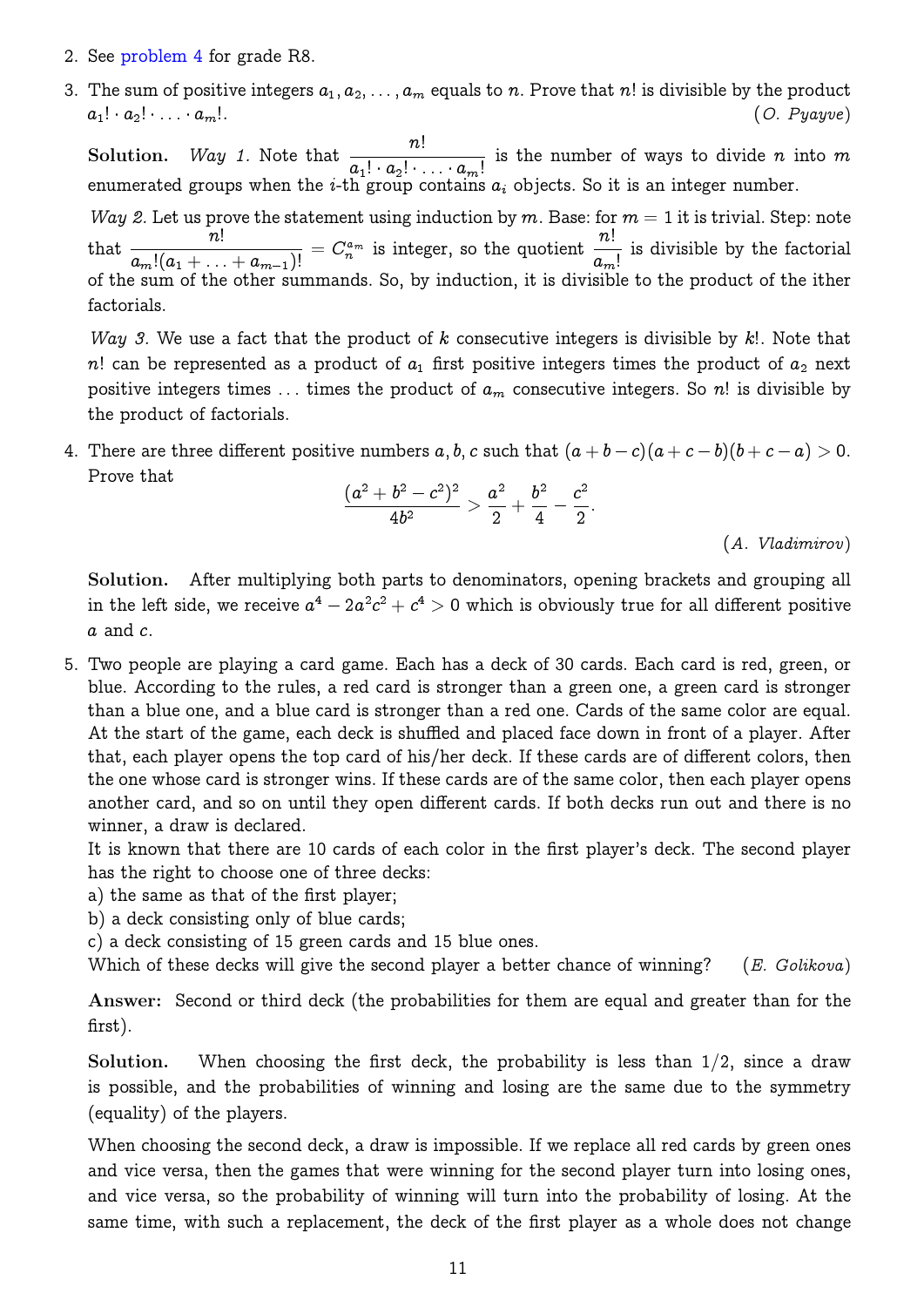- 2. See [problem 4](#page-6-0) for grade R8.
- <span id="page-10-1"></span>3. The sum of positive integers  $a_1, a_2, \ldots, a_m$  equals to n. Prove that n! is divisible by the product  $a_1! \cdot a_2! \cdot \ldots \cdot a_m!$ . (O. Pyayve)

**Solution.** *Way 1*. Note that  $\frac{n!}{1 \cdot n!}$  $a_1! \cdot a_2! \cdot \ldots \cdot a_m!$ is the number of ways to divide  $n$  into  $m$ enumerated groups when the *i*-th group contains  $a_i$  objects. So it is an integer number.

Way 2. Let us prove the statement using induction by m. Base: for  $m = 1$  it is trivial. Step: note  $\frac{n!}{\sqrt{2\pi}}$  $\frac{n!}{a_m!(a_1+\ldots+a_{m-1})!}=C_n^{a_m} \hbox{ is integer, so the quotient }\frac{n!}{a_m}$  $a_m!$ is divisible by the factorial of the sum of the other summands. So, by induction, it is divisible to the product of the ither factorials.

Way 3. We use a fact that the product of  $k$  consecutive integers is divisible by  $k!$ . Note that n! can be represented as a product of  $a_1$  first positive integers times the product of  $a_2$  next positive integers times ... times the product of  $a_m$  consecutive integers. So n! is divisible by the product of factorials.

4. There are three different positive numbers  $a, b, c$  such that  $(a + b - c)(a + c - b)(b + c - a) > 0$ . Prove that

$$
\frac{(a^2+b^2-c^2)^2}{4b^2}>\frac{a^2}{2}+\frac{b^2}{4}-\frac{c^2}{2}.
$$

(A. Vladimirov)

Solution. After multiplying both parts to denominators, opening brackets and grouping all in the left side, we receive  $a^4 - 2a^2c^2 + c^4 > 0$  which is obviously true for all different positive  $a$  and  $c.$ 

<span id="page-10-0"></span>5. Two people are playing a card game. Each has a deck of 30 cards. Each card is red, green, or blue. According to the rules, a red card is stronger than a green one, a green card is stronger than a blue one, and a blue card is stronger than a red one. Cards of the same color are equal. At the start of the game, each deck is shuffled and placed face down in front of a player. After that, each player opens the top card of his/her deck. If these cards are of different colors, then the one whose card is stronger wins. If these cards are of the same color, then each player opens another card, and so on until they open different cards. If both decks run out and there is no winner, a draw is declared.

It is known that there are 10 cards of each color in the first player's deck. The second player has the right to choose one of three decks:

- a) the same as that of the first player;
- b) a deck consisting only of blue cards;
- c) a deck consisting of 15 green cards and 15 blue ones.

Which of these decks will give the second player a better chance of winning? (E. Golikova)

Answer: Second or third deck (the probabilities for them are equal and greater than for the first).

Solution. When choosing the first deck, the probability is less than  $1/2$ , since a draw is possible, and the probabilities of winning and losing are the same due to the symmetry (equality) of the players.

When choosing the second deck, a draw is impossible. If we replace all red cards by green ones and vice versa, then the games that were winning for the second player turn into losing ones, and vice versa, so the probability of winning will turn into the probability of losing. At the same time, with such a replacement, the deck of the first player as a whole does not change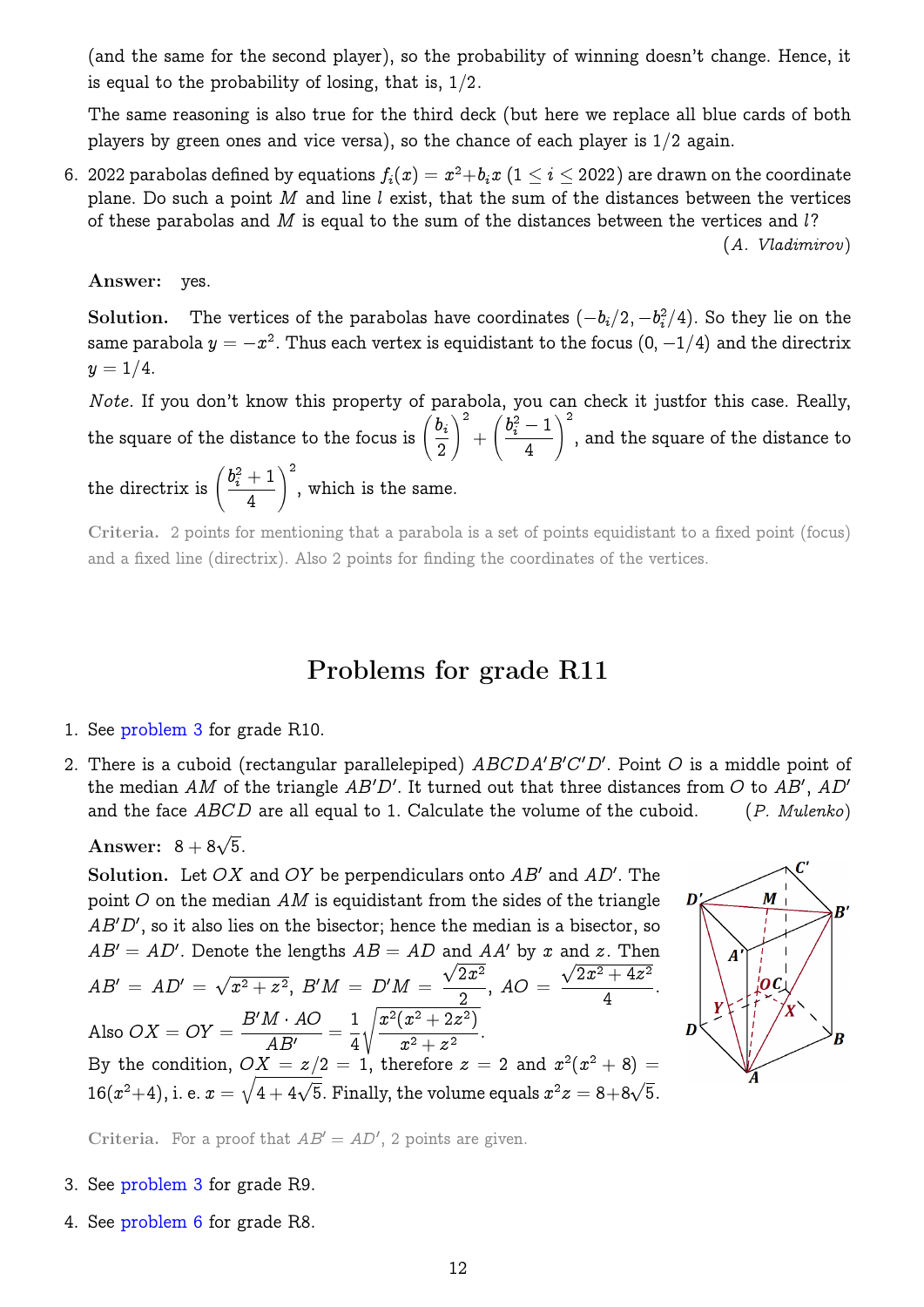(and the same for the second player), so the probability of winning doesn't change. Hence, it is equal to the probability of losing, that is,  $1/2$ .

The same reasoning is also true for the third deck (but here we replace all blue cards of both players by green ones and vice versa), so the chance of each player is  $1/2$  again.

6.  $~$  2022 parabolas defined by equations  $f_i(x) = x^2 + b_i x$   $(1 \leq i \leq 2022)$  are drawn on the coordinate plane. Do such a point  $M$  and line  $l$  exist, that the sum of the distances between the vertices of these parabolas and  $M$  is equal to the sum of the distances between the vertices and  $l$ ? (A. Vladimirov)

Answer: yes.

Solution. The vertices of the parabolas have coordinates  $(-b_i/2, -b_i^2/4)$ . So they lie on the same parabola  $y = -x^2.$  Thus each vertex is equidistant to the focus  $(0,\,-1/4)$  and the directrix  $y = 1/4.$ 

Note. If you don't know this property of parabola, you can check it justfor this case. Really, the square of the distance to the focus is  $\left(\frac{b_i}{b_i}\right)$ 2  $\setminus^2$  $+$  $\int b_i^2 - 1$ 4  $\setminus^2$ , and the square of the distance to the directrix is  $\left(\frac{b_i^2+1}{4}\right)$  $\setminus^2$ , which is the same.

Criteria. 2 points for mentioning that a parabola is a set of points equidistant to a fixed point (focus) and a fixed line (directrix). Also 2 points for finding the coordinates of the vertices.

### Problems for grade R11

1. See [problem 3](#page-10-1) for grade R10.

4

2. There is a cuboid (rectangular parallelepiped)  $ABCDA'B'C'D'$ . Point O is a middle point of the median AM of the triangle AB'D'. It turned out that three distances from O to AB', AD' and the face  $ABCD$  are all equal to 1. Calculate the volume of the cuboid.  $(P.$  Mulenko)

Answer:  $8 + 8\sqrt{5}$ .

Solution. Let OX and OY be perpendiculars onto  $AB'$  and  $AD'$ . The point  $O$  on the median AM is equidistant from the sides of the triangle  $AB'D'$ , so it also lies on the bisector; hence the median is a bisector, so  $AB' = AD'$ . Denote the lengths  $AB = AD$  and  $AA'$  by x and x. Then  $AB' = AD' = \sqrt{ }$  $\overline{x^2 + z^2},\ B'M \,=\, D'M \,=\,$ al,  $\overline{2x^2}$ 2 ,  $AO =$ dl.<br>ر  $\sqrt{2x^2+4z^2}$ 4 . Also  $OX = OY =$  $B'M \cdot AO$  $\frac{A}{AB'} =$ 1 4  $\sqrt{x^2(x^2+2z^2)}$  $\frac{(x+2z)}{x^2+z^2}$ . By the condition,  $OX = z/2 = 1$ , therefore  $z = 2$  and  $x^2(x^2 + 8) = 1$  $16(x^2+4)$ , i. e.  $x = \sqrt{4 + 4\sqrt{5}}$ . Finally, the volume equals  $x^2z = 8 + 8\sqrt{5}$ .



Criteria. For a proof that  $AB' = AD'$ , 2 points are given.

- 3. See [problem 3](#page-8-0) for grade R9.
- 4. See [problem 6](#page-7-0) for grade R8.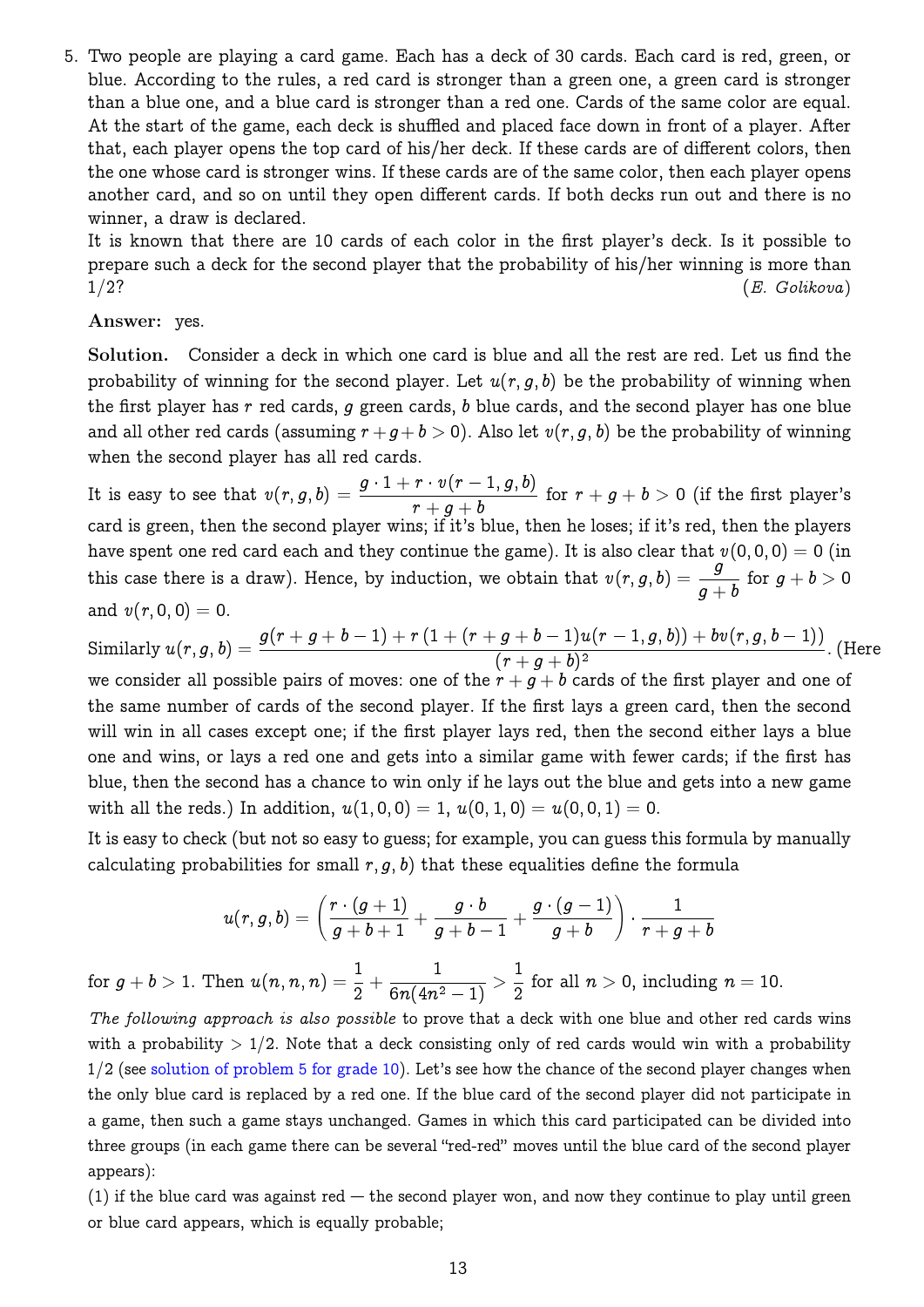5. Two people are playing a card game. Each has a deck of 30 cards. Each card is red, green, or blue. According to the rules, a red card is stronger than a green one, a green card is stronger than a blue one, and a blue card is stronger than a red one. Cards of the same color are equal. At the start of the game, each deck is shuffled and placed face down in front of a player. After that, each player opens the top card of his/her deck. If these cards are of different colors, then the one whose card is stronger wins. If these cards are of the same color, then each player opens another card, and so on until they open different cards. If both decks run out and there is no winner, a draw is declared.

It is known that there are 10 cards of each color in the first player's deck. Is it possible to prepare such a deck for the second player that the probability of his/her winning is more than  $1/2$ ?  $(E. \text{ Golikova})$ 

#### Answer: yes.

Solution. Consider a deck in which one card is blue and all the rest are red. Let us find the probability of winning for the second player. Let  $u(r, g, b)$  be the probability of winning when the first player has  $r$  red cards,  $q$  green cards,  $b$  blue cards, and the second player has one blue and all other red cards (assuming  $r+g +b > 0$ ). Also let  $v(r, g, b)$  be the probability of winning when the second player has all red cards.

It is easy to see that  $v(r,g,b) = \frac{g \cdot 1 + r \cdot v(r-1,g,b)}{1 - r}$  $r+g+b$ for  $r+g+b>0$  (if the first player's card is green, then the second player wins; if it's blue, then he loses; if it's red, then the players have spent one red card each and they continue the game). It is also clear that  $v(0,0,0) = 0$  (in this case there is a draw). Hence, by induction, we obtain that  $v(r, g, b) = \frac{g}{g}$  $g + b$ for  $g+b>0$ and  $v(r, 0, 0) = 0$ .

 $\text{Similarly } u(r,g,b) = \frac{g(r+g+b-1)+r\left(1+(r+g+b-1)u(r-1,g,b)\right)+bv(r,g,b-1))}{(r+g+b-1)^2}$  $\frac{g}{(r+g+b)^2}$ . (Here we consider all possible pairs of moves: one of the  $r + g + b$  cards of the first player and one of the same number of cards of the second player. If the first lays a green card, then the second will win in all cases except one; if the first player lays red, then the second either lays a blue one and wins, or lays a red one and gets into a similar game with fewer cards; if the first has blue, then the second has a chance to win only if he lays out the blue and gets into a new game with all the reds.) In addition,  $u(1,0,0) = 1$ ,  $u(0,1,0) = u(0,0,1) = 0$ .

It is easy to check (but not so easy to guess; for example, you can guess this formula by manually calculating probabilities for small  $r, q, b$ ) that these equalities define the formula

$$
u(r,g,b)=\left(\frac{r\cdot (g+1)}{g+b+1}+\frac{g\cdot b}{g+b-1}+\frac{g\cdot (g-1)}{g+b}\right)\cdot \frac{1}{r+g+b}
$$

for  $g + b > 1$ . Then  $u(n, n, n) = \frac{1}{2}$ 2  $+$  $\frac{1}{6n(4n^2-1)}>\frac{1}{2}$ 2 for all  $n > 0$ , including  $n = 10$ .

The following approach is also possible to prove that a deck with one blue and other red cards wins with a probability  $> 1/2$ . Note that a deck consisting only of red cards would win with a probability  $1/2$  (see [solution of problem 5 for grade 10\)](#page-10-0). Let's see how the chance of the second player changes when the only blue card is replaced by a red one. If the blue card of the second player did not participate in a game, then such a game stays unchanged. Games in which this card participated can be divided into three groups (in each game there can be several "red-red" moves until the blue card of the second player appears):

(1) if the blue card was against red  $-$  the second player won, and now they continue to play until green or blue card appears, which is equally probable;